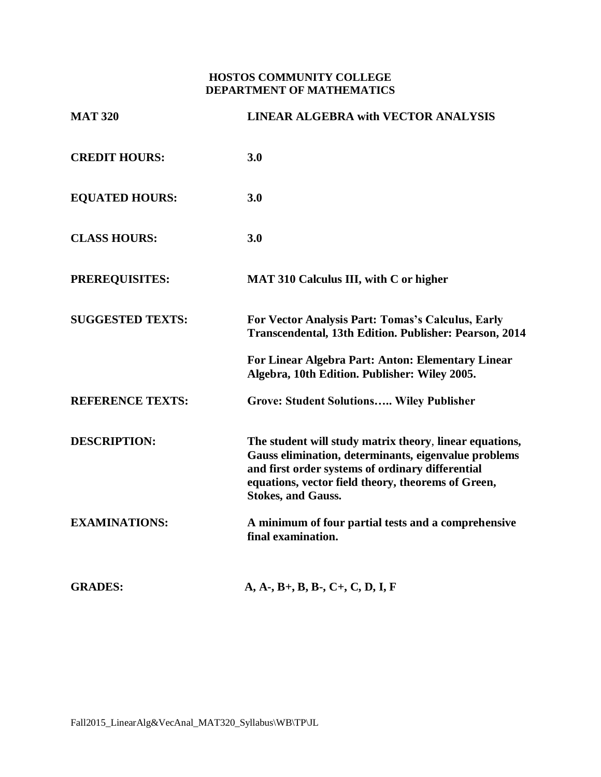## **HOSTOS COMMUNITY COLLEGE DEPARTMENT OF MATHEMATICS**

| <b>MAT 320</b>          | <b>LINEAR ALGEBRA with VECTOR ANALYSIS</b>                                                                                                                                                                                                             |
|-------------------------|--------------------------------------------------------------------------------------------------------------------------------------------------------------------------------------------------------------------------------------------------------|
| <b>CREDIT HOURS:</b>    | 3.0                                                                                                                                                                                                                                                    |
| <b>EQUATED HOURS:</b>   | 3.0                                                                                                                                                                                                                                                    |
| <b>CLASS HOURS:</b>     | 3.0                                                                                                                                                                                                                                                    |
| <b>PREREQUISITES:</b>   | <b>MAT 310 Calculus III, with C or higher</b>                                                                                                                                                                                                          |
| <b>SUGGESTED TEXTS:</b> | For Vector Analysis Part: Tomas's Calculus, Early<br>Transcendental, 13th Edition. Publisher: Pearson, 2014                                                                                                                                            |
|                         | For Linear Algebra Part: Anton: Elementary Linear<br>Algebra, 10th Edition. Publisher: Wiley 2005.                                                                                                                                                     |
| <b>REFERENCE TEXTS:</b> | <b>Grove: Student Solutions Wiley Publisher</b>                                                                                                                                                                                                        |
| <b>DESCRIPTION:</b>     | The student will study matrix theory, linear equations,<br>Gauss elimination, determinants, eigenvalue problems<br>and first order systems of ordinary differential<br>equations, vector field theory, theorems of Green,<br><b>Stokes, and Gauss.</b> |
| <b>EXAMINATIONS:</b>    | A minimum of four partial tests and a comprehensive<br>final examination.                                                                                                                                                                              |
| <b>GRADES:</b>          | $A, A-, B+, B, B-, C+, C, D, I, F$                                                                                                                                                                                                                     |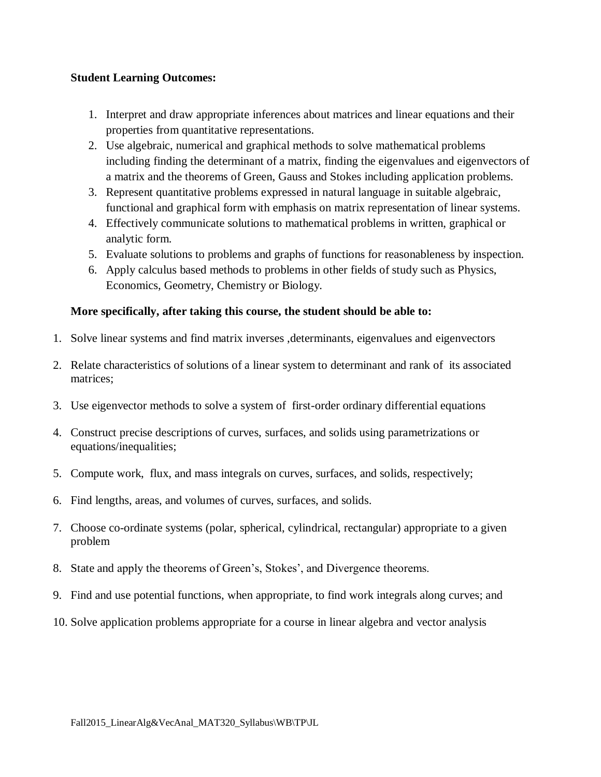## **Student Learning Outcomes:**

- 1. Interpret and draw appropriate inferences about matrices and linear equations and their properties from quantitative representations.
- 2. Use algebraic, numerical and graphical methods to solve mathematical problems including finding the determinant of a matrix, finding the eigenvalues and eigenvectors of a matrix and the theorems of Green, Gauss and Stokes including application problems.
- 3. Represent quantitative problems expressed in natural language in suitable algebraic, functional and graphical form with emphasis on matrix representation of linear systems.
- 4. Effectively communicate solutions to mathematical problems in written, graphical or analytic form.
- 5. Evaluate solutions to problems and graphs of functions for reasonableness by inspection.
- 6. Apply calculus based methods to problems in other fields of study such as Physics, Economics, Geometry, Chemistry or Biology.

## **More specifically, after taking this course, the student should be able to:**

- 1. Solve linear systems and find matrix inverses ,determinants, eigenvalues and eigenvectors
- 2. Relate characteristics of solutions of a linear system to determinant and rank of its associated matrices;
- 3. Use eigenvector methods to solve a system of first-order ordinary differential equations
- 4. Construct precise descriptions of curves, surfaces, and solids using parametrizations or equations/inequalities;
- 5. Compute work, flux, and mass integrals on curves, surfaces, and solids, respectively;
- 6. Find lengths, areas, and volumes of curves, surfaces, and solids.
- 7. Choose co-ordinate systems (polar, spherical, cylindrical, rectangular) appropriate to a given problem
- 8. State and apply the theorems of Green's, Stokes', and Divergence theorems.
- 9. Find and use potential functions, when appropriate, to find work integrals along curves; and
- 10. Solve application problems appropriate for a course in linear algebra and vector analysis